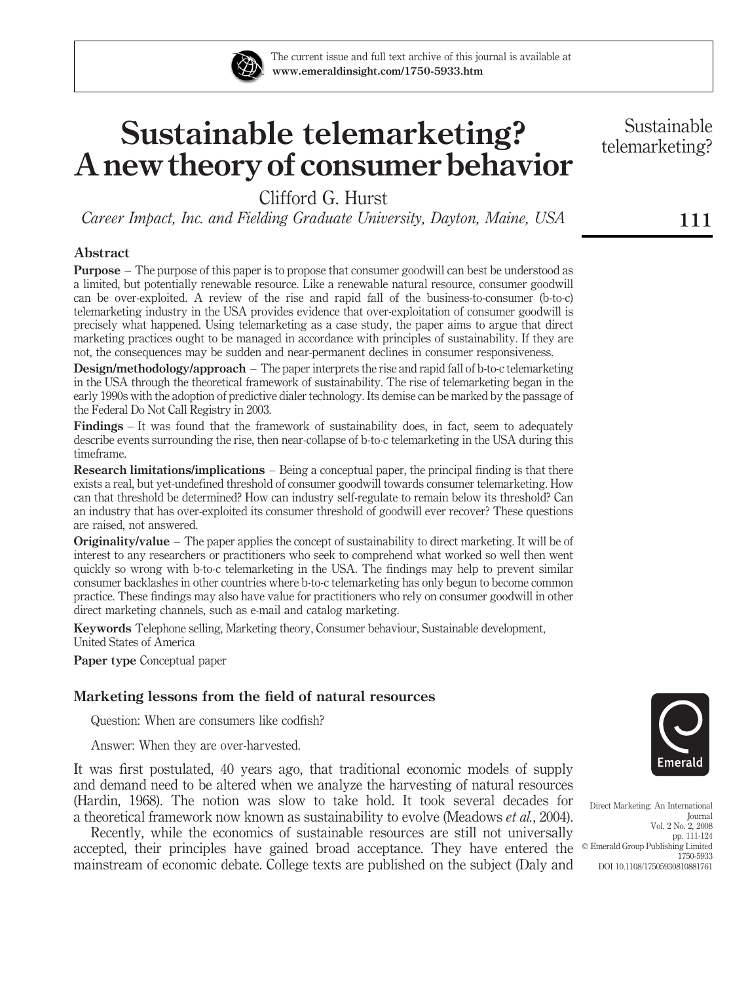

The current issue and full text archive of this journal is available at www.emeraldinsight.com/1750-5933.htm

# Sustainable telemarketing? A new theory of consumer behavior

Clifford G. Hurst

Career Impact, Inc. and Fielding Graduate University, Dayton, Maine, USA

# Abstract

Purpose – The purpose of this paper is to propose that consumer goodwill can best be understood as a limited, but potentially renewable resource. Like a renewable natural resource, consumer goodwill can be over-exploited. A review of the rise and rapid fall of the business-to-consumer (b-to-c) telemarketing industry in the USA provides evidence that over-exploitation of consumer goodwill is precisely what happened. Using telemarketing as a case study, the paper aims to argue that direct marketing practices ought to be managed in accordance with principles of sustainability. If they are not, the consequences may be sudden and near-permanent declines in consumer responsiveness.

Design/methodology/approach – The paper interprets the rise and rapid fall of b-to-c telemarketing in the USA through the theoretical framework of sustainability. The rise of telemarketing began in the early 1990s with the adoption of predictive dialer technology. Its demise can be marked by the passage of the Federal Do Not Call Registry in 2003.

Findings – It was found that the framework of sustainability does, in fact, seem to adequately describe events surrounding the rise, then near-collapse of b-to-c telemarketing in the USA during this timeframe.

Research limitations/implications – Being a conceptual paper, the principal finding is that there exists a real, but yet-undefined threshold of consumer goodwill towards consumer telemarketing. How can that threshold be determined? How can industry self-regulate to remain below its threshold? Can an industry that has over-exploited its consumer threshold of goodwill ever recover? These questions are raised, not answered.

Originality/value – The paper applies the concept of sustainability to direct marketing. It will be of interest to any researchers or practitioners who seek to comprehend what worked so well then went quickly so wrong with b-to-c telemarketing in the USA. The findings may help to prevent similar consumer backlashes in other countries where b-to-c telemarketing has only begun to become common practice. These findings may also have value for practitioners who rely on consumer goodwill in other direct marketing channels, such as e-mail and catalog marketing.

Keywords Telephone selling, Marketing theory, Consumer behaviour, Sustainable development, United States of America

Paper type Conceptual paper

# Marketing lessons from the field of natural resources

Question: When are consumers like codfish?

Answer: When they are over-harvested.

It was first postulated, 40 years ago, that traditional economic models of supply and demand need to be altered when we analyze the harvesting of natural resources (Hardin, 1968). The notion was slow to take hold. It took several decades for a theoretical framework now known as sustainability to evolve (Meadows et al., 2004).

Recently, while the economics of sustainable resources are still not universally accepted, their principles have gained broad acceptance. They have entered the  $\circ$  Emerald Group Publishing Limited mainstream of economic debate. College texts are published on the subject (Daly and



Direct Marketing: An International Journal Vol. 2 No. 2, 2008 pp. 111-124 1750-5933 DOI 10.1108/17505930810881761

111

Sustainable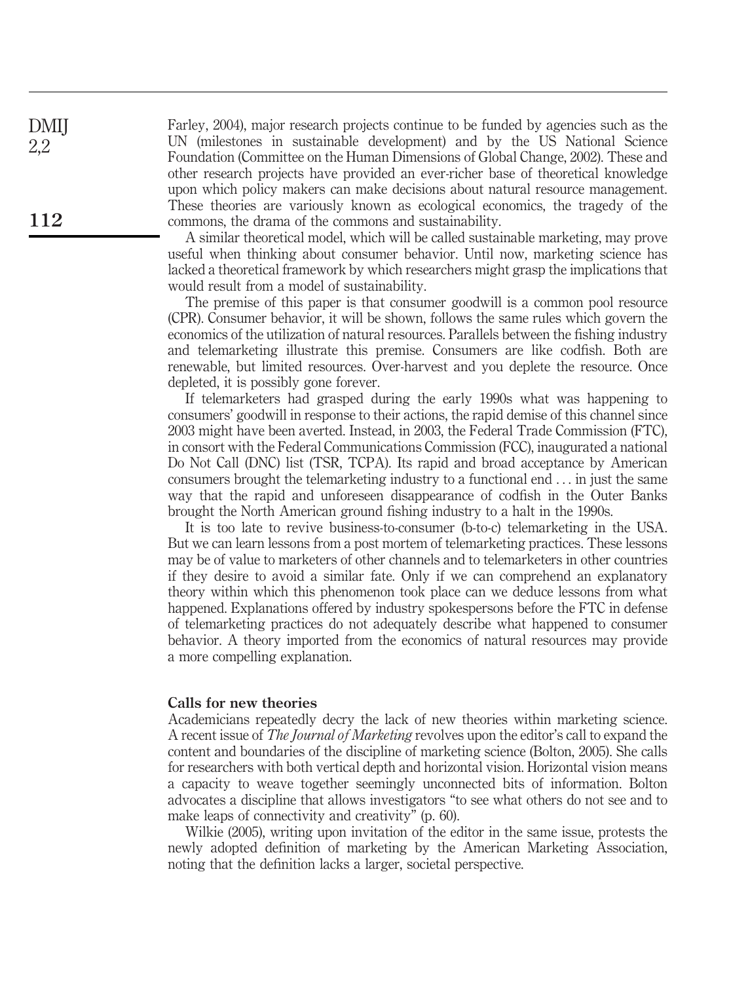Farley, 2004), major research projects continue to be funded by agencies such as the UN (milestones in sustainable development) and by the US National Science Foundation (Committee on the Human Dimensions of Global Change, 2002). These and other research projects have provided an ever-richer base of theoretical knowledge upon which policy makers can make decisions about natural resource management. These theories are variously known as ecological economics, the tragedy of the commons, the drama of the commons and sustainability.

A similar theoretical model, which will be called sustainable marketing, may prove useful when thinking about consumer behavior. Until now, marketing science has lacked a theoretical framework by which researchers might grasp the implications that would result from a model of sustainability.

The premise of this paper is that consumer goodwill is a common pool resource (CPR). Consumer behavior, it will be shown, follows the same rules which govern the economics of the utilization of natural resources. Parallels between the fishing industry and telemarketing illustrate this premise. Consumers are like codfish. Both are renewable, but limited resources. Over-harvest and you deplete the resource. Once depleted, it is possibly gone forever.

If telemarketers had grasped during the early 1990s what was happening to consumers' goodwill in response to their actions, the rapid demise of this channel since 2003 might have been averted. Instead, in 2003, the Federal Trade Commission (FTC), in consort with the Federal Communications Commission (FCC), inaugurated a national Do Not Call (DNC) list (TSR, TCPA). Its rapid and broad acceptance by American consumers brought the telemarketing industry to a functional end ... in just the same way that the rapid and unforeseen disappearance of codfish in the Outer Banks brought the North American ground fishing industry to a halt in the 1990s.

It is too late to revive business-to-consumer (b-to-c) telemarketing in the USA. But we can learn lessons from a post mortem of telemarketing practices. These lessons may be of value to marketers of other channels and to telemarketers in other countries if they desire to avoid a similar fate. Only if we can comprehend an explanatory theory within which this phenomenon took place can we deduce lessons from what happened. Explanations offered by industry spokespersons before the FTC in defense of telemarketing practices do not adequately describe what happened to consumer behavior. A theory imported from the economics of natural resources may provide a more compelling explanation.

# Calls for new theories

Academicians repeatedly decry the lack of new theories within marketing science. A recent issue of The Journal of Marketing revolves upon the editor's call to expand the content and boundaries of the discipline of marketing science (Bolton, 2005). She calls for researchers with both vertical depth and horizontal vision. Horizontal vision means a capacity to weave together seemingly unconnected bits of information. Bolton advocates a discipline that allows investigators "to see what others do not see and to make leaps of connectivity and creativity" (p. 60).

Wilkie (2005), writing upon invitation of the editor in the same issue, protests the newly adopted definition of marketing by the American Marketing Association, noting that the definition lacks a larger, societal perspective.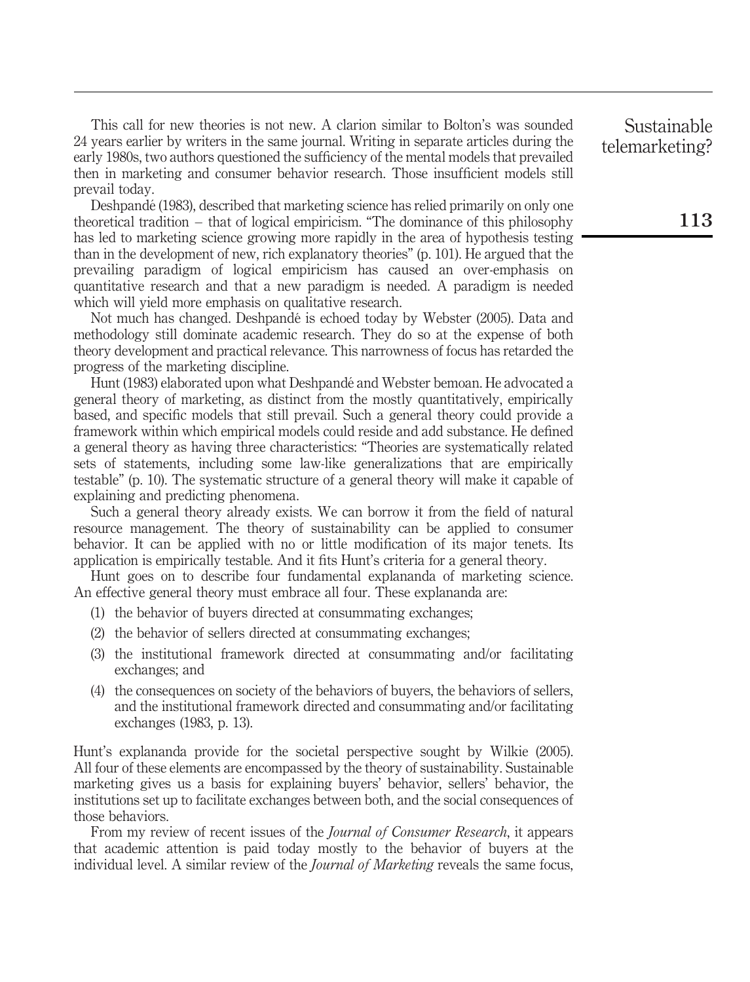This call for new theories is not new. A clarion similar to Bolton's was sounded 24 years earlier by writers in the same journal. Writing in separate articles during the early 1980s, two authors questioned the sufficiency of the mental models that prevailed then in marketing and consumer behavior research. Those insufficient models still prevail today.

Deshpandé (1983), described that marketing science has relied primarily on only one theoretical tradition – that of logical empiricism. "The dominance of this philosophy has led to marketing science growing more rapidly in the area of hypothesis testing than in the development of new, rich explanatory theories" (p. 101). He argued that the prevailing paradigm of logical empiricism has caused an over-emphasis on quantitative research and that a new paradigm is needed. A paradigm is needed which will yield more emphasis on qualitative research.

Not much has changed. Deshpandé is echoed today by Webster (2005). Data and methodology still dominate academic research. They do so at the expense of both theory development and practical relevance. This narrowness of focus has retarded the progress of the marketing discipline.

Hunt (1983) elaborated upon what Deshpande´ and Webster bemoan. He advocated a general theory of marketing, as distinct from the mostly quantitatively, empirically based, and specific models that still prevail. Such a general theory could provide a framework within which empirical models could reside and add substance. He defined a general theory as having three characteristics: "Theories are systematically related sets of statements, including some law-like generalizations that are empirically testable" (p. 10). The systematic structure of a general theory will make it capable of explaining and predicting phenomena.

Such a general theory already exists. We can borrow it from the field of natural resource management. The theory of sustainability can be applied to consumer behavior. It can be applied with no or little modification of its major tenets. Its application is empirically testable. And it fits Hunt's criteria for a general theory.

Hunt goes on to describe four fundamental explananda of marketing science. An effective general theory must embrace all four. These explananda are:

- (1) the behavior of buyers directed at consummating exchanges;
- (2) the behavior of sellers directed at consummating exchanges;
- (3) the institutional framework directed at consummating and/or facilitating exchanges; and
- (4) the consequences on society of the behaviors of buyers, the behaviors of sellers, and the institutional framework directed and consummating and/or facilitating exchanges (1983, p. 13).

Hunt's explananda provide for the societal perspective sought by Wilkie (2005). All four of these elements are encompassed by the theory of sustainability. Sustainable marketing gives us a basis for explaining buyers' behavior, sellers' behavior, the institutions set up to facilitate exchanges between both, and the social consequences of those behaviors.

From my review of recent issues of the *Journal of Consumer Research*, it appears that academic attention is paid today mostly to the behavior of buyers at the individual level. A similar review of the *Journal of Marketing* reveals the same focus,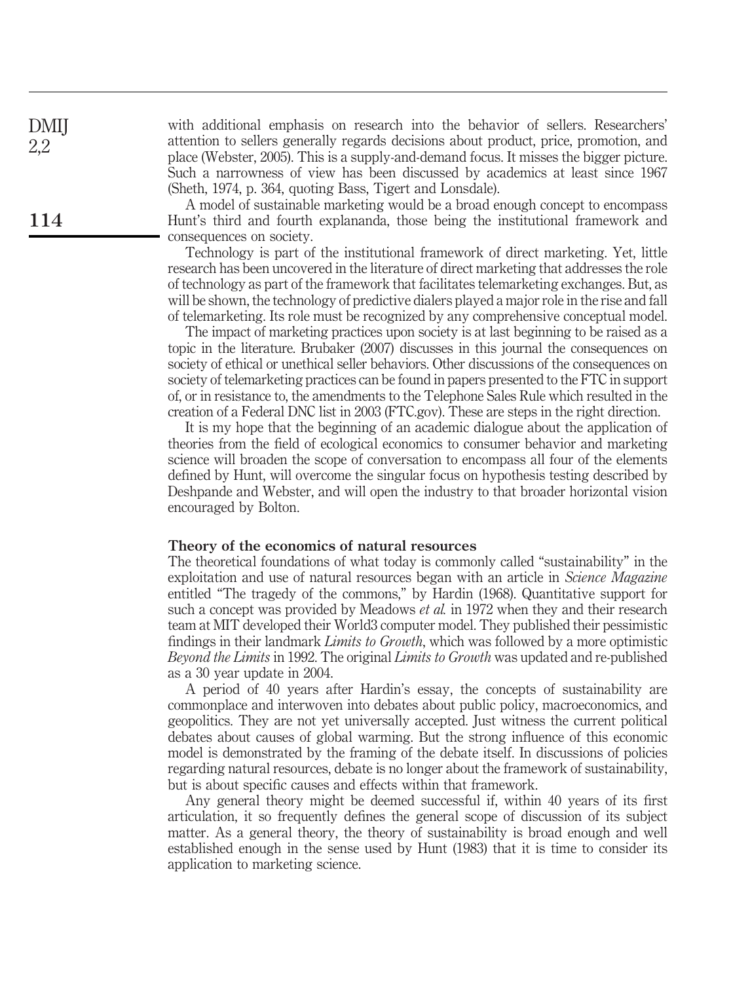with additional emphasis on research into the behavior of sellers. Researchers' attention to sellers generally regards decisions about product, price, promotion, and place (Webster, 2005). This is a supply-and-demand focus. It misses the bigger picture. Such a narrowness of view has been discussed by academics at least since 1967 (Sheth, 1974, p. 364, quoting Bass, Tigert and Lonsdale).

A model of sustainable marketing would be a broad enough concept to encompass Hunt's third and fourth explananda, those being the institutional framework and consequences on society.

Technology is part of the institutional framework of direct marketing. Yet, little research has been uncovered in the literature of direct marketing that addresses the role of technology as part of the framework that facilitates telemarketing exchanges. But, as will be shown, the technology of predictive dialers played a major role in the rise and fall of telemarketing. Its role must be recognized by any comprehensive conceptual model.

The impact of marketing practices upon society is at last beginning to be raised as a topic in the literature. Brubaker (2007) discusses in this journal the consequences on society of ethical or unethical seller behaviors. Other discussions of the consequences on society of telemarketing practices can be found in papers presented to the FTC in support of, or in resistance to, the amendments to the Telephone Sales Rule which resulted in the creation of a Federal DNC list in 2003 (FTC.gov). These are steps in the right direction.

It is my hope that the beginning of an academic dialogue about the application of theories from the field of ecological economics to consumer behavior and marketing science will broaden the scope of conversation to encompass all four of the elements defined by Hunt, will overcome the singular focus on hypothesis testing described by Deshpande and Webster, and will open the industry to that broader horizontal vision encouraged by Bolton.

#### Theory of the economics of natural resources

The theoretical foundations of what today is commonly called "sustainability" in the exploitation and use of natural resources began with an article in Science Magazine entitled "The tragedy of the commons," by Hardin (1968). Quantitative support for such a concept was provided by Meadows *et al.* in 1972 when they and their research team at MIT developed their World3 computer model. They published their pessimistic findings in their landmark Limits to Growth, which was followed by a more optimistic Beyond the Limits in 1992. The original Limits to Growth was updated and re-published as a 30 year update in 2004.

A period of 40 years after Hardin's essay, the concepts of sustainability are commonplace and interwoven into debates about public policy, macroeconomics, and geopolitics. They are not yet universally accepted. Just witness the current political debates about causes of global warming. But the strong influence of this economic model is demonstrated by the framing of the debate itself. In discussions of policies regarding natural resources, debate is no longer about the framework of sustainability, but is about specific causes and effects within that framework.

Any general theory might be deemed successful if, within 40 years of its first articulation, it so frequently defines the general scope of discussion of its subject matter. As a general theory, the theory of sustainability is broad enough and well established enough in the sense used by Hunt (1983) that it is time to consider its application to marketing science.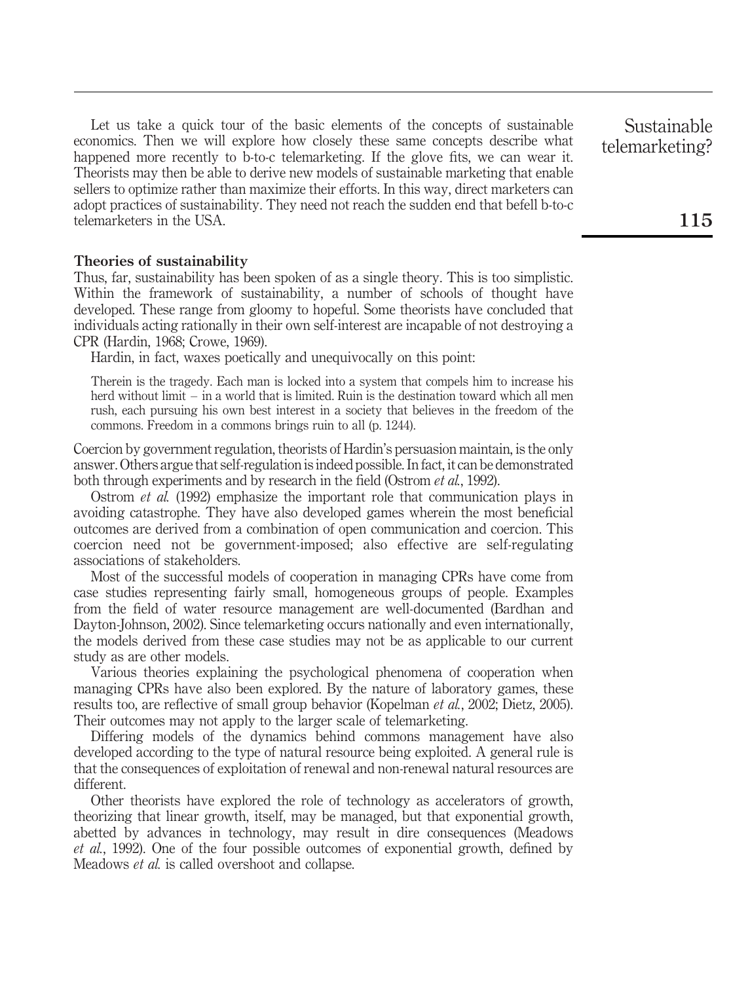Let us take a quick tour of the basic elements of the concepts of sustainable economics. Then we will explore how closely these same concepts describe what happened more recently to b-to-c telemarketing. If the glove fits, we can wear it. Theorists may then be able to derive new models of sustainable marketing that enable sellers to optimize rather than maximize their efforts. In this way, direct marketers can adopt practices of sustainability. They need not reach the sudden end that befell b-to-c telemarketers in the USA.

Theories of sustainability

Thus, far, sustainability has been spoken of as a single theory. This is too simplistic. Within the framework of sustainability, a number of schools of thought have developed. These range from gloomy to hopeful. Some theorists have concluded that individuals acting rationally in their own self-interest are incapable of not destroying a CPR (Hardin, 1968; Crowe, 1969).

Hardin, in fact, waxes poetically and unequivocally on this point:

Therein is the tragedy. Each man is locked into a system that compels him to increase his herd without limit – in a world that is limited. Ruin is the destination toward which all men rush, each pursuing his own best interest in a society that believes in the freedom of the commons. Freedom in a commons brings ruin to all (p. 1244).

Coercion by government regulation, theorists of Hardin's persuasion maintain, is the only answer. Others argue that self-regulation is indeed possible. In fact, it can be demonstrated both through experiments and by research in the field (Ostrom et al., 1992).

Ostrom et al. (1992) emphasize the important role that communication plays in avoiding catastrophe. They have also developed games wherein the most beneficial outcomes are derived from a combination of open communication and coercion. This coercion need not be government-imposed; also effective are self-regulating associations of stakeholders.

Most of the successful models of cooperation in managing CPRs have come from case studies representing fairly small, homogeneous groups of people. Examples from the field of water resource management are well-documented (Bardhan and Dayton-Johnson, 2002). Since telemarketing occurs nationally and even internationally, the models derived from these case studies may not be as applicable to our current study as are other models.

Various theories explaining the psychological phenomena of cooperation when managing CPRs have also been explored. By the nature of laboratory games, these results too, are reflective of small group behavior (Kopelman et al., 2002; Dietz, 2005). Their outcomes may not apply to the larger scale of telemarketing.

Differing models of the dynamics behind commons management have also developed according to the type of natural resource being exploited. A general rule is that the consequences of exploitation of renewal and non-renewal natural resources are different.

Other theorists have explored the role of technology as accelerators of growth, theorizing that linear growth, itself, may be managed, but that exponential growth, abetted by advances in technology, may result in dire consequences (Meadows et al., 1992). One of the four possible outcomes of exponential growth, defined by Meadows *et al.* is called overshoot and collapse.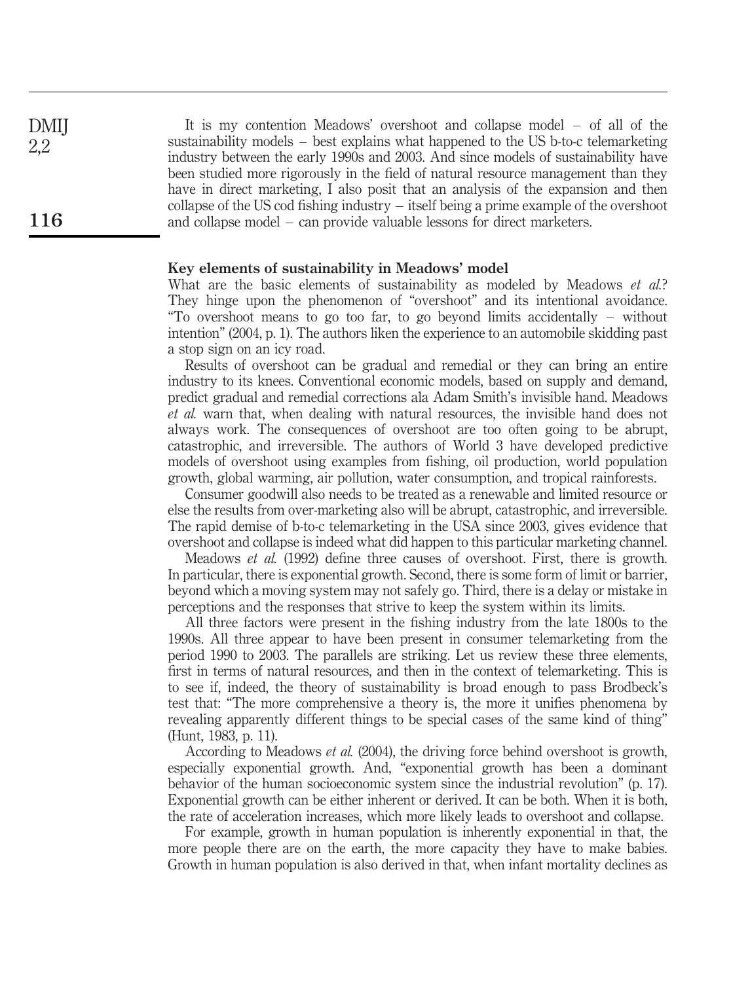116

It is my contention Meadows' overshoot and collapse model – of all of the sustainability models – best explains what happened to the US b-to-c telemarketing industry between the early 1990s and 2003. And since models of sustainability have been studied more rigorously in the field of natural resource management than they have in direct marketing, I also posit that an analysis of the expansion and then collapse of the US cod fishing industry – itself being a prime example of the overshoot and collapse model – can provide valuable lessons for direct marketers.

#### Key elements of sustainability in Meadows' model

What are the basic elements of sustainability as modeled by Meadows et al.? They hinge upon the phenomenon of "overshoot" and its intentional avoidance. "To overshoot means to go too far, to go beyond limits accidentally – without intention" (2004, p. 1). The authors liken the experience to an automobile skidding past a stop sign on an icy road.

Results of overshoot can be gradual and remedial or they can bring an entire industry to its knees. Conventional economic models, based on supply and demand, predict gradual and remedial corrections ala Adam Smith's invisible hand. Meadows et al. warn that, when dealing with natural resources, the invisible hand does not always work. The consequences of overshoot are too often going to be abrupt, catastrophic, and irreversible. The authors of World 3 have developed predictive models of overshoot using examples from fishing, oil production, world population growth, global warming, air pollution, water consumption, and tropical rainforests.

Consumer goodwill also needs to be treated as a renewable and limited resource or else the results from over-marketing also will be abrupt, catastrophic, and irreversible. The rapid demise of b-to-c telemarketing in the USA since 2003, gives evidence that overshoot and collapse is indeed what did happen to this particular marketing channel.

Meadows *et al.* (1992) define three causes of overshoot. First, there is growth. In particular, there is exponential growth. Second, there is some form of limit or barrier, beyond which a moving system may not safely go. Third, there is a delay or mistake in perceptions and the responses that strive to keep the system within its limits.

All three factors were present in the fishing industry from the late 1800s to the 1990s. All three appear to have been present in consumer telemarketing from the period 1990 to 2003. The parallels are striking. Let us review these three elements, first in terms of natural resources, and then in the context of telemarketing. This is to see if, indeed, the theory of sustainability is broad enough to pass Brodbeck's test that: "The more comprehensive a theory is, the more it unifies phenomena by revealing apparently different things to be special cases of the same kind of thing" (Hunt, 1983, p. 11).

According to Meadows et al. (2004), the driving force behind overshoot is growth, especially exponential growth. And, "exponential growth has been a dominant behavior of the human socioeconomic system since the industrial revolution" (p. 17). Exponential growth can be either inherent or derived. It can be both. When it is both, the rate of acceleration increases, which more likely leads to overshoot and collapse.

For example, growth in human population is inherently exponential in that, the more people there are on the earth, the more capacity they have to make babies. Growth in human population is also derived in that, when infant mortality declines as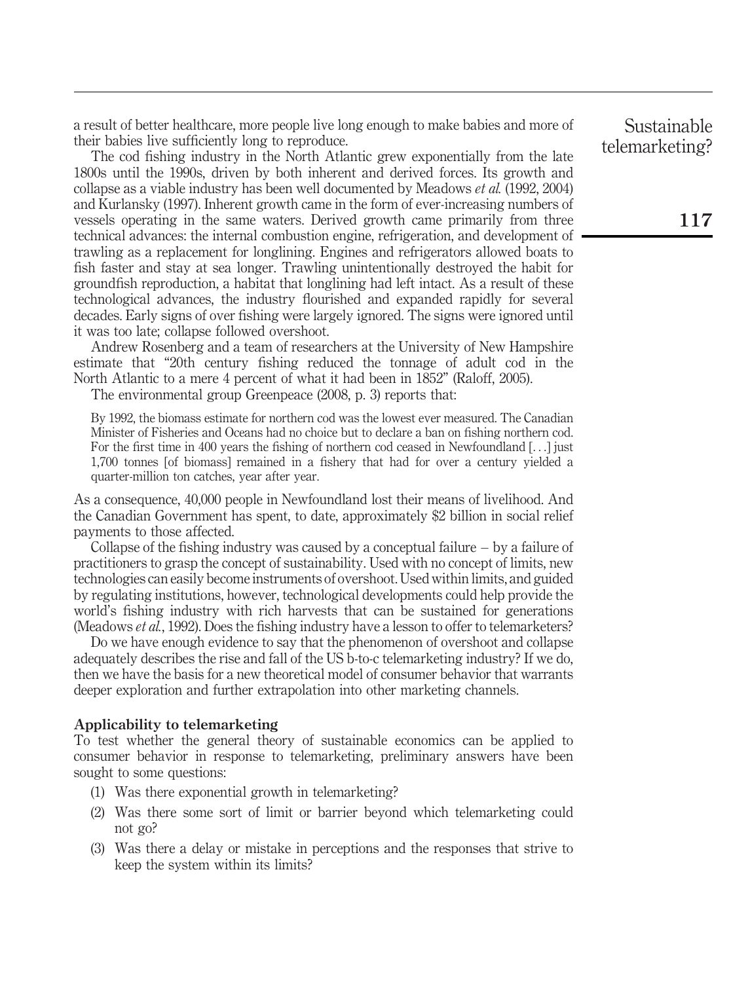a result of better healthcare, more people live long enough to make babies and more of their babies live sufficiently long to reproduce.

The cod fishing industry in the North Atlantic grew exponentially from the late 1800s until the 1990s, driven by both inherent and derived forces. Its growth and collapse as a viable industry has been well documented by Meadows et al. (1992, 2004) and Kurlansky (1997). Inherent growth came in the form of ever-increasing numbers of vessels operating in the same waters. Derived growth came primarily from three technical advances: the internal combustion engine, refrigeration, and development of trawling as a replacement for longlining. Engines and refrigerators allowed boats to fish faster and stay at sea longer. Trawling unintentionally destroyed the habit for groundfish reproduction, a habitat that longlining had left intact. As a result of these technological advances, the industry flourished and expanded rapidly for several decades. Early signs of over fishing were largely ignored. The signs were ignored until it was too late; collapse followed overshoot.

Andrew Rosenberg and a team of researchers at the University of New Hampshire estimate that "20th century fishing reduced the tonnage of adult cod in the North Atlantic to a mere 4 percent of what it had been in 1852" (Raloff, 2005).

The environmental group Greenpeace (2008, p. 3) reports that:

By 1992, the biomass estimate for northern cod was the lowest ever measured. The Canadian Minister of Fisheries and Oceans had no choice but to declare a ban on fishing northern cod. For the first time in 400 years the fishing of northern cod ceased in Newfoundland [...] just 1,700 tonnes [of biomass] remained in a fishery that had for over a century yielded a quarter-million ton catches, year after year.

As a consequence, 40,000 people in Newfoundland lost their means of livelihood. And the Canadian Government has spent, to date, approximately \$2 billion in social relief payments to those affected.

Collapse of the fishing industry was caused by a conceptual failure  $-$  by a failure of practitioners to grasp the concept of sustainability. Used with no concept of limits, new technologies can easily become instruments of overshoot. Used within limits, and guided by regulating institutions, however, technological developments could help provide the world's fishing industry with rich harvests that can be sustained for generations (Meadows *et al.*, 1992). Does the fishing industry have a lesson to offer to telemarketers?

Do we have enough evidence to say that the phenomenon of overshoot and collapse adequately describes the rise and fall of the US b-to-c telemarketing industry? If we do, then we have the basis for a new theoretical model of consumer behavior that warrants deeper exploration and further extrapolation into other marketing channels.

# Applicability to telemarketing

To test whether the general theory of sustainable economics can be applied to consumer behavior in response to telemarketing, preliminary answers have been sought to some questions:

- (1) Was there exponential growth in telemarketing?
- (2) Was there some sort of limit or barrier beyond which telemarketing could not go?
- (3) Was there a delay or mistake in perceptions and the responses that strive to keep the system within its limits?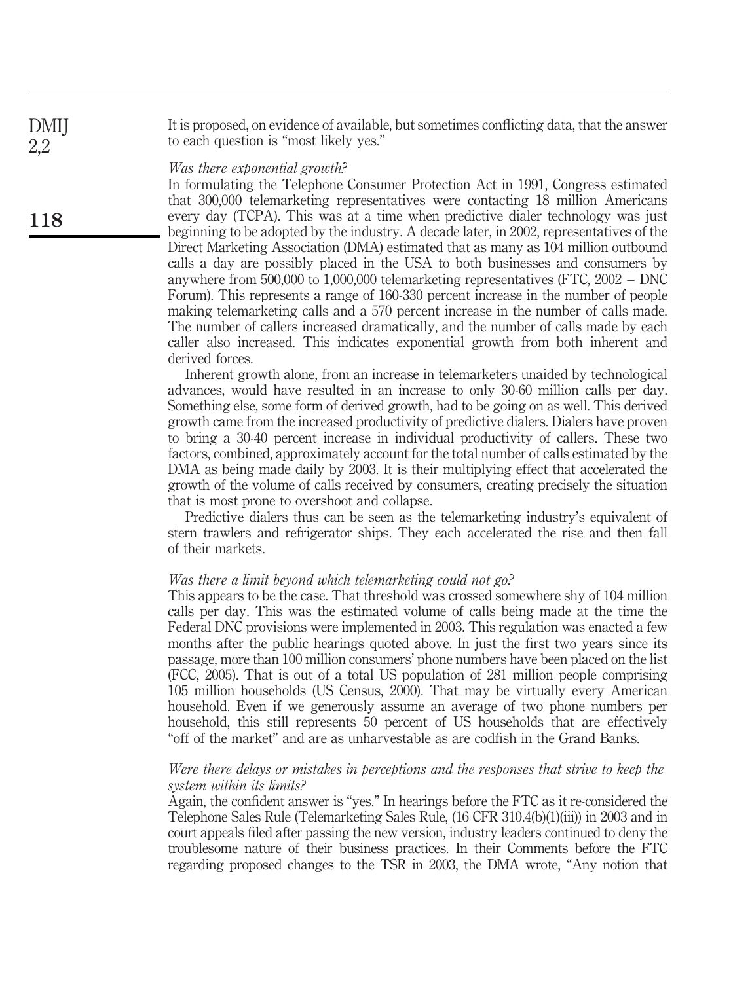It is proposed, on evidence of available, but sometimes conflicting data, that the answer to each question is "most likely yes."

## Was there exponential growth?

In formulating the Telephone Consumer Protection Act in 1991, Congress estimated that 300,000 telemarketing representatives were contacting 18 million Americans every day (TCPA). This was at a time when predictive dialer technology was just beginning to be adopted by the industry. A decade later, in 2002, representatives of the Direct Marketing Association (DMA) estimated that as many as 104 million outbound calls a day are possibly placed in the USA to both businesses and consumers by anywhere from 500,000 to 1,000,000 telemarketing representatives (FTC, 2002 – DNC Forum). This represents a range of 160-330 percent increase in the number of people making telemarketing calls and a 570 percent increase in the number of calls made. The number of callers increased dramatically, and the number of calls made by each caller also increased. This indicates exponential growth from both inherent and derived forces.

Inherent growth alone, from an increase in telemarketers unaided by technological advances, would have resulted in an increase to only 30-60 million calls per day. Something else, some form of derived growth, had to be going on as well. This derived growth came from the increased productivity of predictive dialers. Dialers have proven to bring a 30-40 percent increase in individual productivity of callers. These two factors, combined, approximately account for the total number of calls estimated by the DMA as being made daily by 2003. It is their multiplying effect that accelerated the growth of the volume of calls received by consumers, creating precisely the situation that is most prone to overshoot and collapse.

Predictive dialers thus can be seen as the telemarketing industry's equivalent of stern trawlers and refrigerator ships. They each accelerated the rise and then fall of their markets.

### Was there a limit beyond which telemarketing could not go.

This appears to be the case. That threshold was crossed somewhere shy of 104 million calls per day. This was the estimated volume of calls being made at the time the Federal DNC provisions were implemented in 2003. This regulation was enacted a few months after the public hearings quoted above. In just the first two years since its passage, more than 100 million consumers' phone numbers have been placed on the list (FCC, 2005). That is out of a total US population of 281 million people comprising 105 million households (US Census, 2000). That may be virtually every American household. Even if we generously assume an average of two phone numbers per household, this still represents 50 percent of US households that are effectively "off of the market" and are as unharvestable as are codfish in the Grand Banks.

# Were there delays or mistakes in perceptions and the responses that strive to keep the system within its limits?

Again, the confident answer is "yes." In hearings before the FTC as it re-considered the Telephone Sales Rule (Telemarketing Sales Rule, (16 CFR 310.4(b)(1)(iii)) in 2003 and in court appeals filed after passing the new version, industry leaders continued to deny the troublesome nature of their business practices. In their Comments before the FTC regarding proposed changes to the TSR in 2003, the DMA wrote, "Any notion that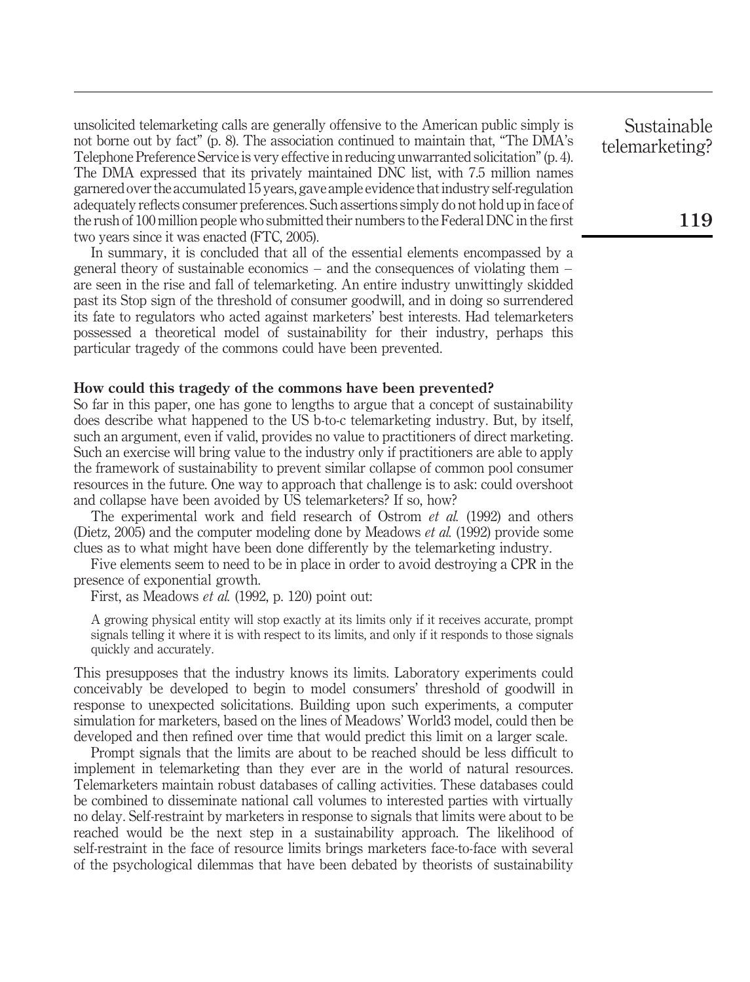unsolicited telemarketing calls are generally offensive to the American public simply is not borne out by fact" (p. 8). The association continued to maintain that, "The DMA's Telephone Preference Service is very effective in reducing unwarranted solicitation" (p. 4). The DMA expressed that its privately maintained DNC list, with 7.5 million names garnered over the accumulated 15 years, gave ample evidence that industry self-regulation adequately reflects consumer preferences. Such assertions simply do not hold up in face of the rush of 100 million people who submitted their numbers to the Federal DNC in the first two years since it was enacted (FTC, 2005).

In summary, it is concluded that all of the essential elements encompassed by a general theory of sustainable economics – and the consequences of violating them – are seen in the rise and fall of telemarketing. An entire industry unwittingly skidded past its Stop sign of the threshold of consumer goodwill, and in doing so surrendered its fate to regulators who acted against marketers' best interests. Had telemarketers possessed a theoretical model of sustainability for their industry, perhaps this particular tragedy of the commons could have been prevented.

# How could this tragedy of the commons have been prevented?

So far in this paper, one has gone to lengths to argue that a concept of sustainability does describe what happened to the US b-to-c telemarketing industry. But, by itself, such an argument, even if valid, provides no value to practitioners of direct marketing. Such an exercise will bring value to the industry only if practitioners are able to apply the framework of sustainability to prevent similar collapse of common pool consumer resources in the future. One way to approach that challenge is to ask: could overshoot and collapse have been avoided by US telemarketers? If so, how?

The experimental work and field research of Ostrom *et al.* (1992) and others (Dietz, 2005) and the computer modeling done by Meadows et al. (1992) provide some clues as to what might have been done differently by the telemarketing industry.

Five elements seem to need to be in place in order to avoid destroying a CPR in the presence of exponential growth.

First, as Meadows et al. (1992, p. 120) point out:

A growing physical entity will stop exactly at its limits only if it receives accurate, prompt signals telling it where it is with respect to its limits, and only if it responds to those signals quickly and accurately.

This presupposes that the industry knows its limits. Laboratory experiments could conceivably be developed to begin to model consumers' threshold of goodwill in response to unexpected solicitations. Building upon such experiments, a computer simulation for marketers, based on the lines of Meadows' World3 model, could then be developed and then refined over time that would predict this limit on a larger scale.

Prompt signals that the limits are about to be reached should be less difficult to implement in telemarketing than they ever are in the world of natural resources. Telemarketers maintain robust databases of calling activities. These databases could be combined to disseminate national call volumes to interested parties with virtually no delay. Self-restraint by marketers in response to signals that limits were about to be reached would be the next step in a sustainability approach. The likelihood of self-restraint in the face of resource limits brings marketers face-to-face with several of the psychological dilemmas that have been debated by theorists of sustainability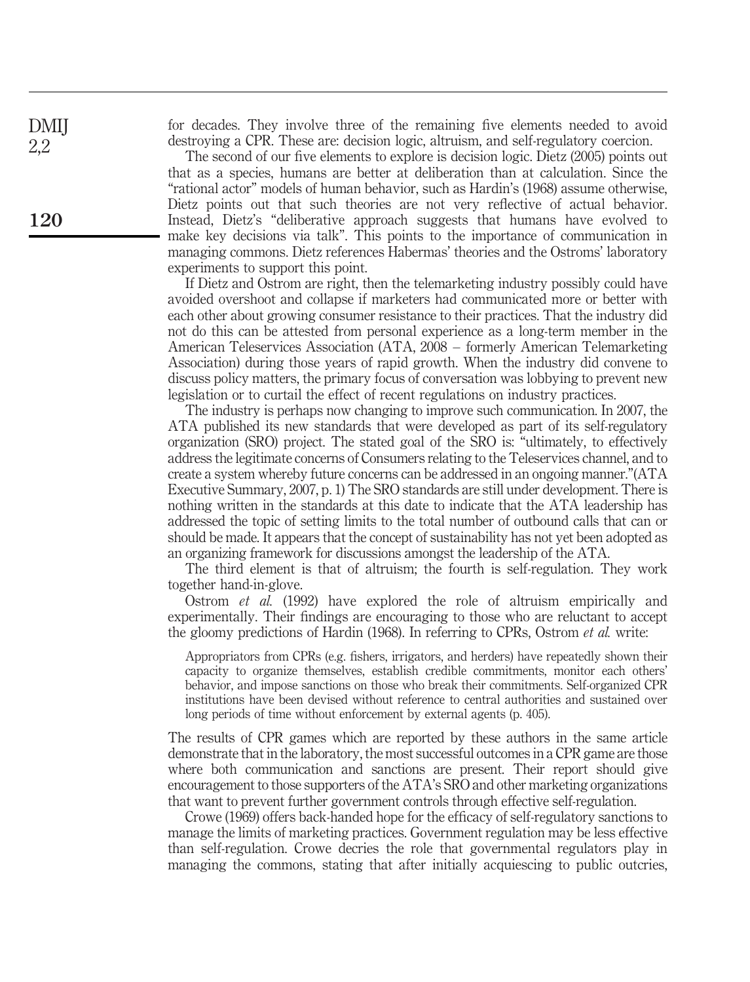for decades. They involve three of the remaining five elements needed to avoid destroying a CPR. These are: decision logic, altruism, and self-regulatory coercion.

The second of our five elements to explore is decision logic. Dietz (2005) points out that as a species, humans are better at deliberation than at calculation. Since the "rational actor" models of human behavior, such as Hardin's (1968) assume otherwise, Dietz points out that such theories are not very reflective of actual behavior. Instead, Dietz's "deliberative approach suggests that humans have evolved to make key decisions via talk". This points to the importance of communication in managing commons. Dietz references Habermas' theories and the Ostroms' laboratory experiments to support this point.

If Dietz and Ostrom are right, then the telemarketing industry possibly could have avoided overshoot and collapse if marketers had communicated more or better with each other about growing consumer resistance to their practices. That the industry did not do this can be attested from personal experience as a long-term member in the American Teleservices Association (ATA, 2008 – formerly American Telemarketing Association) during those years of rapid growth. When the industry did convene to discuss policy matters, the primary focus of conversation was lobbying to prevent new legislation or to curtail the effect of recent regulations on industry practices.

The industry is perhaps now changing to improve such communication. In 2007, the ATA published its new standards that were developed as part of its self-regulatory organization (SRO) project. The stated goal of the SRO is: "ultimately, to effectively address the legitimate concerns of Consumers relating to the Teleservices channel, and to create a system whereby future concerns can be addressed in an ongoing manner."(ATA Executive Summary, 2007, p. 1) The SRO standards are still under development. There is nothing written in the standards at this date to indicate that the ATA leadership has addressed the topic of setting limits to the total number of outbound calls that can or should be made. It appears that the concept of sustainability has not yet been adopted as an organizing framework for discussions amongst the leadership of the ATA.

The third element is that of altruism; the fourth is self-regulation. They work together hand-in-glove.

Ostrom et al. (1992) have explored the role of altruism empirically and experimentally. Their findings are encouraging to those who are reluctant to accept the gloomy predictions of Hardin (1968). In referring to CPRs, Ostrom et al. write:

Appropriators from CPRs (e.g. fishers, irrigators, and herders) have repeatedly shown their capacity to organize themselves, establish credible commitments, monitor each others' behavior, and impose sanctions on those who break their commitments. Self-organized CPR institutions have been devised without reference to central authorities and sustained over long periods of time without enforcement by external agents (p. 405).

The results of CPR games which are reported by these authors in the same article demonstrate that in the laboratory, the most successful outcomes in a CPR game are those where both communication and sanctions are present. Their report should give encouragement to those supporters of the ATA's SRO and other marketing organizations that want to prevent further government controls through effective self-regulation.

Crowe (1969) offers back-handed hope for the efficacy of self-regulatory sanctions to manage the limits of marketing practices. Government regulation may be less effective than self-regulation. Crowe decries the role that governmental regulators play in managing the commons, stating that after initially acquiescing to public outcries,

120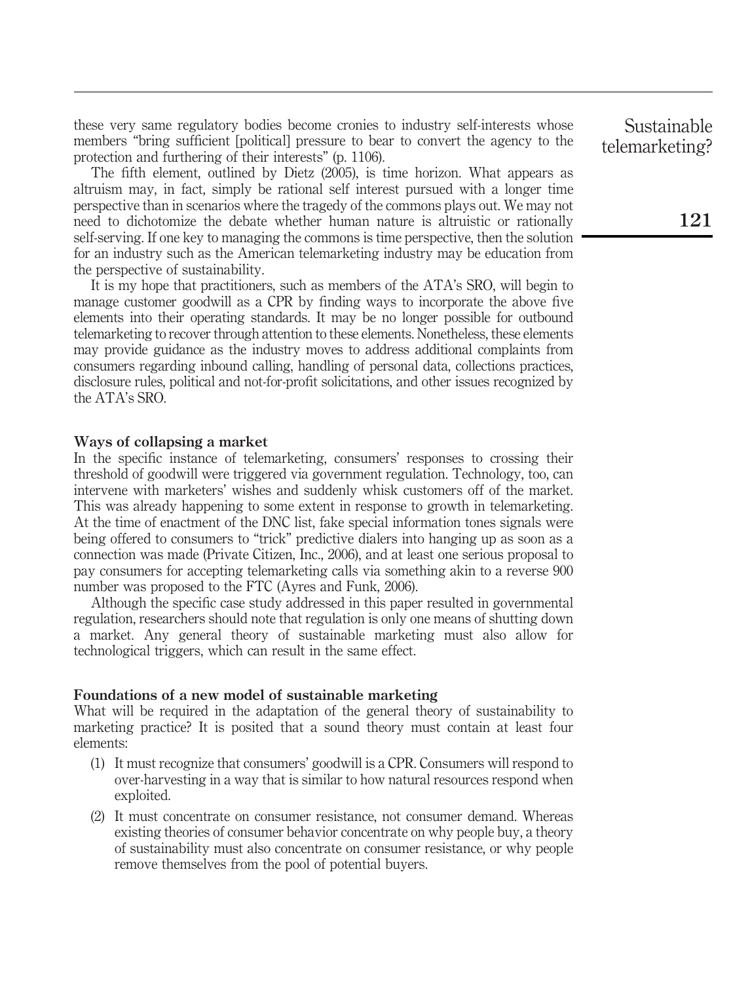these very same regulatory bodies become cronies to industry self-interests whose members "bring sufficient [political] pressure to bear to convert the agency to the protection and furthering of their interests" (p. 1106).

The fifth element, outlined by Dietz (2005), is time horizon. What appears as altruism may, in fact, simply be rational self interest pursued with a longer time perspective than in scenarios where the tragedy of the commons plays out. We may not need to dichotomize the debate whether human nature is altruistic or rationally self-serving. If one key to managing the commons is time perspective, then the solution for an industry such as the American telemarketing industry may be education from the perspective of sustainability.

It is my hope that practitioners, such as members of the ATA's SRO, will begin to manage customer goodwill as a CPR by finding ways to incorporate the above five elements into their operating standards. It may be no longer possible for outbound telemarketing to recover through attention to these elements. Nonetheless, these elements may provide guidance as the industry moves to address additional complaints from consumers regarding inbound calling, handling of personal data, collections practices, disclosure rules, political and not-for-profit solicitations, and other issues recognized by the ATA's SRO.

# Ways of collapsing a market

In the specific instance of telemarketing, consumers' responses to crossing their threshold of goodwill were triggered via government regulation. Technology, too, can intervene with marketers' wishes and suddenly whisk customers off of the market. This was already happening to some extent in response to growth in telemarketing. At the time of enactment of the DNC list, fake special information tones signals were being offered to consumers to "trick" predictive dialers into hanging up as soon as a connection was made (Private Citizen, Inc., 2006), and at least one serious proposal to pay consumers for accepting telemarketing calls via something akin to a reverse 900 number was proposed to the FTC (Ayres and Funk, 2006).

Although the specific case study addressed in this paper resulted in governmental regulation, researchers should note that regulation is only one means of shutting down a market. Any general theory of sustainable marketing must also allow for technological triggers, which can result in the same effect.

## Foundations of a new model of sustainable marketing

What will be required in the adaptation of the general theory of sustainability to marketing practice? It is posited that a sound theory must contain at least four elements:

- (1) It must recognize that consumers' goodwill is a CPR. Consumers will respond to over-harvesting in a way that is similar to how natural resources respond when exploited.
- (2) It must concentrate on consumer resistance, not consumer demand. Whereas existing theories of consumer behavior concentrate on why people buy, a theory of sustainability must also concentrate on consumer resistance, or why people remove themselves from the pool of potential buyers.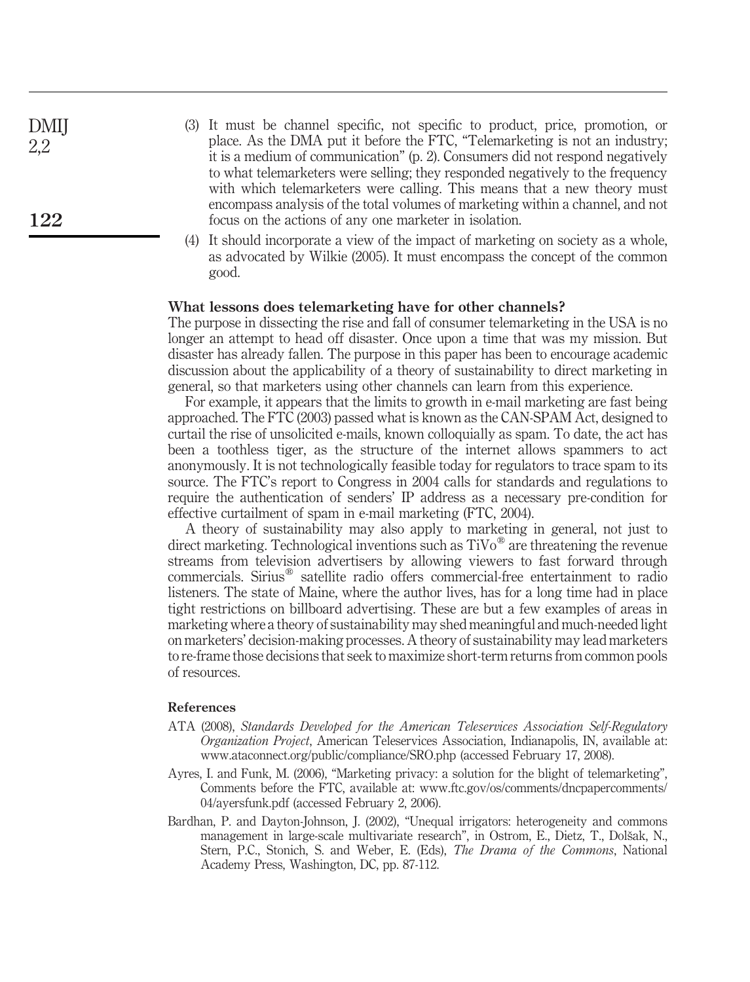| (3) It must be channel specific, not specific to product, price, promotion, or |
|--------------------------------------------------------------------------------|
| place. As the DMA put it before the FTC, "Telemarketing is not an industry;    |
| it is a medium of communication" (p. 2). Consumers did not respond negatively  |
| to what telemarketers were selling; they responded negatively to the frequency |
| with which telemarketers were calling. This means that a new theory must       |
| encompass analysis of the total volumes of marketing within a channel, and not |
| focus on the actions of any one marketer in isolation.                         |

(4) It should incorporate a view of the impact of marketing on society as a whole, as advocated by Wilkie (2005). It must encompass the concept of the common good.

#### What lessons does telemarketing have for other channels?

The purpose in dissecting the rise and fall of consumer telemarketing in the USA is no longer an attempt to head off disaster. Once upon a time that was my mission. But disaster has already fallen. The purpose in this paper has been to encourage academic discussion about the applicability of a theory of sustainability to direct marketing in general, so that marketers using other channels can learn from this experience.

For example, it appears that the limits to growth in e-mail marketing are fast being approached. The FTC (2003) passed what is known as the CAN-SPAM Act, designed to curtail the rise of unsolicited e-mails, known colloquially as spam. To date, the act has been a toothless tiger, as the structure of the internet allows spammers to act anonymously. It is not technologically feasible today for regulators to trace spam to its source. The FTC's report to Congress in 2004 calls for standards and regulations to require the authentication of senders' IP address as a necessary pre-condition for effective curtailment of spam in e-mail marketing (FTC, 2004).

A theory of sustainability may also apply to marketing in general, not just to direct marketing. Technological inventions such as  $TiVo^{\circledR}$  are threatening the revenue streams from television advertisers by allowing viewers to fast forward through commercials. Sirius<sup>®</sup> satellite radio offers commercial-free entertainment to radio listeners. The state of Maine, where the author lives, has for a long time had in place tight restrictions on billboard advertising. These are but a few examples of areas in marketing where a theory of sustainability may shed meaningful and much-needed light on marketers' decision-making processes. A theory of sustainability may lead marketers to re-frame those decisions that seek to maximize short-term returns from common pools of resources.

# References

- ATA (2008), Standards Developed for the American Teleservices Association Self-Regulatory Organization Project, American Teleservices Association, Indianapolis, IN, available at: www.ataconnect.org/public/compliance/SRO.php (accessed February 17, 2008).
- Ayres, I. and Funk, M. (2006), "Marketing privacy: a solution for the blight of telemarketing", Comments before the FTC, available at: www.ftc.gov/os/comments/dncpapercomments/ 04/ayersfunk.pdf (accessed February 2, 2006).
- Bardhan, P. and Dayton-Johnson, J. (2002), "Unequal irrigators: heterogeneity and commons management in large-scale multivariate research", in Ostrom, E., Dietz, T., Dolšak, N., Stern, P.C., Stonich, S. and Weber, E. (Eds), The Drama of the Commons, National Academy Press, Washington, DC, pp. 87-112.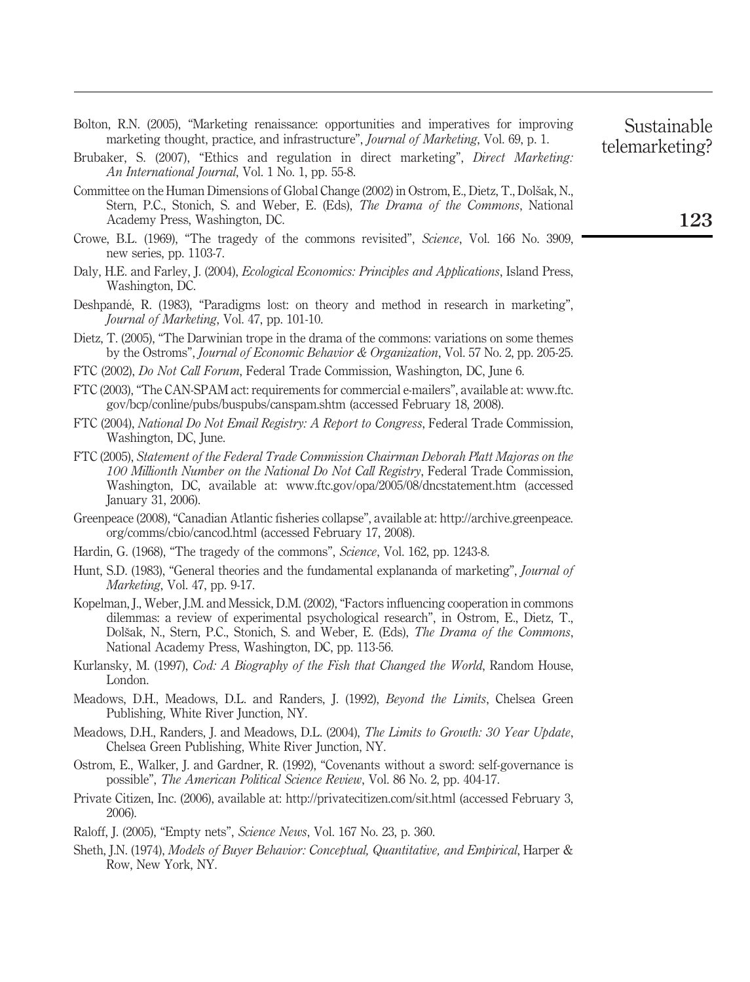|  |  | Bolton, R.N. (2005), "Marketing renaissance: opportunities and imperatives for improving       |  |  |
|--|--|------------------------------------------------------------------------------------------------|--|--|
|  |  | marketing thought, practice, and infrastructure", <i>Journal of Marketing</i> , Vol. 69, p. 1. |  |  |

- Brubaker, S. (2007), "Ethics and regulation in direct marketing", Direct Marketing: An International Journal, Vol. 1 No. 1, pp. 55-8.
- Committee on the Human Dimensions of Global Change (2002) in Ostrom, E., Dietz, T., Dolšak, N., Stern, P.C., Stonich, S. and Weber, E. (Eds), The Drama of the Commons, National Academy Press, Washington, DC.
- Crowe, B.L. (1969), "The tragedy of the commons revisited", Science, Vol. 166 No. 3909, new series, pp. 1103-7.
- Daly, H.E. and Farley, J. (2004), Ecological Economics: Principles and Applications, Island Press, Washington, DC.
- Deshpandé, R. (1983), "Paradigms lost: on theory and method in research in marketing", Journal of Marketing, Vol. 47, pp. 101-10.
- Dietz, T. (2005), "The Darwinian trope in the drama of the commons: variations on some themes by the Ostroms", Journal of Economic Behavior & Organization, Vol. 57 No. 2, pp. 205-25.
- FTC (2002), Do Not Call Forum, Federal Trade Commission, Washington, DC, June 6.
- FTC (2003), "The CAN-SPAM act: requirements for commercial e-mailers", available at: www.ftc. gov/bcp/conline/pubs/buspubs/canspam.shtm (accessed February 18, 2008).
- FTC (2004), National Do Not Email Registry: A Report to Congress, Federal Trade Commission, Washington, DC, June.
- FTC (2005), Statement of the Federal Trade Commission Chairman Deborah Platt Majoras on the 100 Millionth Number on the National Do Not Call Registry, Federal Trade Commission, Washington, DC, available at: www.ftc.gov/opa/2005/08/dncstatement.htm (accessed January 31, 2006).
- Greenpeace (2008), "Canadian Atlantic fisheries collapse", available at: http://archive.greenpeace. org/comms/cbio/cancod.html (accessed February 17, 2008).
- Hardin, G. (1968), "The tragedy of the commons", *Science*, Vol. 162, pp. 1243-8.
- Hunt, S.D. (1983), "General theories and the fundamental explananda of marketing", *Journal of* Marketing, Vol. 47, pp. 9-17.
- Kopelman, J., Weber, J.M. and Messick, D.M. (2002), "Factors influencing cooperation in commons dilemmas: a review of experimental psychological research", in Ostrom, E., Dietz, T., Dolšak, N., Stern, P.C., Stonich, S. and Weber, E. (Eds), The Drama of the Commons, National Academy Press, Washington, DC, pp. 113-56.
- Kurlansky, M. (1997), Cod: A Biography of the Fish that Changed the World, Random House, London.
- Meadows, D.H., Meadows, D.L. and Randers, J. (1992), Beyond the Limits, Chelsea Green Publishing, White River Junction, NY.
- Meadows, D.H., Randers, J. and Meadows, D.L. (2004), The Limits to Growth: 30 Year Update, Chelsea Green Publishing, White River Junction, NY.
- Ostrom, E., Walker, J. and Gardner, R. (1992), "Covenants without a sword: self-governance is possible", The American Political Science Review, Vol. 86 No. 2, pp. 404-17.
- Private Citizen, Inc. (2006), available at: http://privatecitizen.com/sit.html (accessed February 3, 2006).
- Raloff, J. (2005), "Empty nets", Science News, Vol. 167 No. 23, p. 360.
- Sheth, J.N. (1974), *Models of Buyer Behavior: Conceptual, Quantitative, and Empirical*, Harper & Row, New York, NY.

123